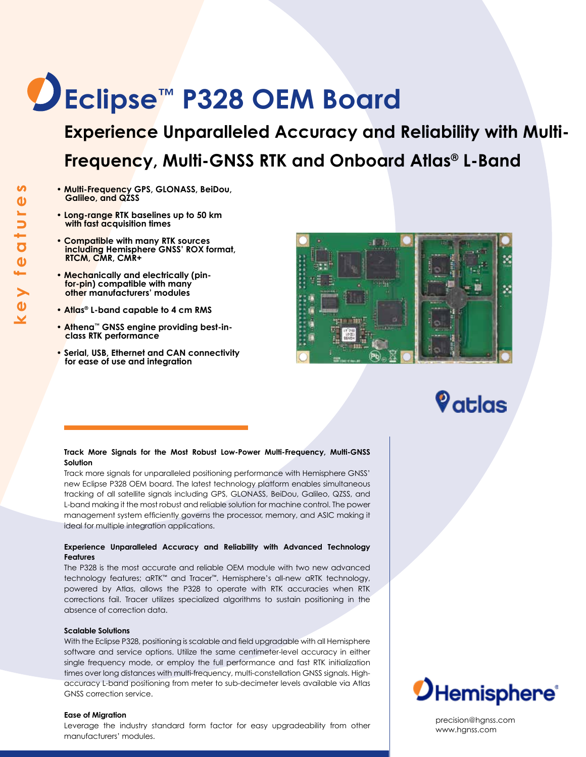# **Eclipse™ P328 OEM Board**

**Experience Unparalleled Accuracy and Reliability with Multi-Frequency, Multi-GNSS RTK and Onboard Atlas® L-Band**

- **Multi-Frequency GPS, GLONASS, BeiDou, Galileo, and QZSS**
- **Long-range RTK baselines up to 50 km with fast acquisition times**
- **Compatible with many RTK sources including Hemisphere GNSS' ROX format, RTCM, CMR, CMR+**
- **Mechanically and electrically (pinfor-pin) compatible with many other manufacturers' modules**
- **Atlas® L-band capable to 4 cm RMS**
- **Athena™ GNSS engine providing best-inclass RTK performance**
- **Serial, USB, Ethernet and CAN connectivity for ease of use and integration**



## $\mathbf{\large{\%}}$ atlas

## **Track More Signals for the Most Robust Low-Power Multi-Frequency, Multi-GNSS Solution**

Track more signals for unparalleled positioning performance with Hemisphere GNSS' new Eclipse P328 OEM board. The latest technology platform enables simultaneous tracking of all satellite signals including GPS, GLONASS, BeiDou, Galileo, QZSS, and L-band making it the most robust and reliable solution for machine control. The power management system efficiently governs the processor, memory, and ASIC making it ideal for multiple integration applications.

## **Experience Unparalleled Accuracy and Reliability with Advanced Technology Features**

The P328 is the most accurate and reliable OEM module with two new advanced technology features; aRTK™ and Tracer™. Hemisphere's all-new aRTK technology, powered by Atlas, allows the P328 to operate with RTK accuracies when RTK corrections fail. Tracer utilizes specialized algorithms to sustain positioning in the absence of correction data.

## **Scalable Solutions**

With the Eclipse P328, positioning is scalable and field upgradable with all Hemisphere software and service options. Utilize the same centimeter-level accuracy in either single frequency mode, or employ the full performance and fast RTK initialization times over long distances with multi-frequency, multi-constellation GNSS signals. Highaccuracy L-band positioning from meter to sub-decimeter levels available via Atlas GNSS correction service.

### **Ease of Migration**

Leverage the industry standard form factor for easy upgradeability from other manufacturers' modules.



precision@hgnss.com www.hgnss.com